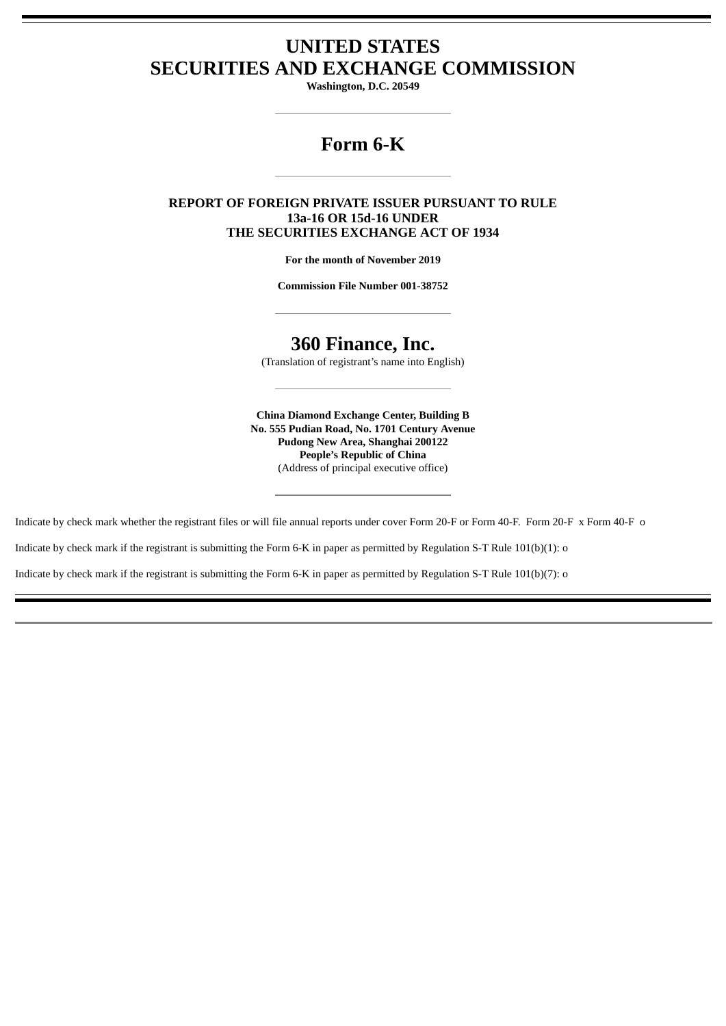# **UNITED STATES SECURITIES AND EXCHANGE COMMISSION**

**Washington, D.C. 20549**

## **Form 6-K**

### **REPORT OF FOREIGN PRIVATE ISSUER PURSUANT TO RULE 13a-16 OR 15d-16 UNDER THE SECURITIES EXCHANGE ACT OF 1934**

**For the month of November 2019**

**Commission File Number 001-38752**

## **360 Finance, Inc.**

(Translation of registrant's name into English)

**China Diamond Exchange Center, Building B No. 555 Pudian Road, No. 1701 Century Avenue Pudong New Area, Shanghai 200122 People's Republic of China** (Address of principal executive office)

Indicate by check mark whether the registrant files or will file annual reports under cover Form 20-F or Form 40-F. Form 20-F x Form 40-F o

Indicate by check mark if the registrant is submitting the Form 6-K in paper as permitted by Regulation S-T Rule 101(b)(1): o

Indicate by check mark if the registrant is submitting the Form 6-K in paper as permitted by Regulation S-T Rule 101(b)(7): o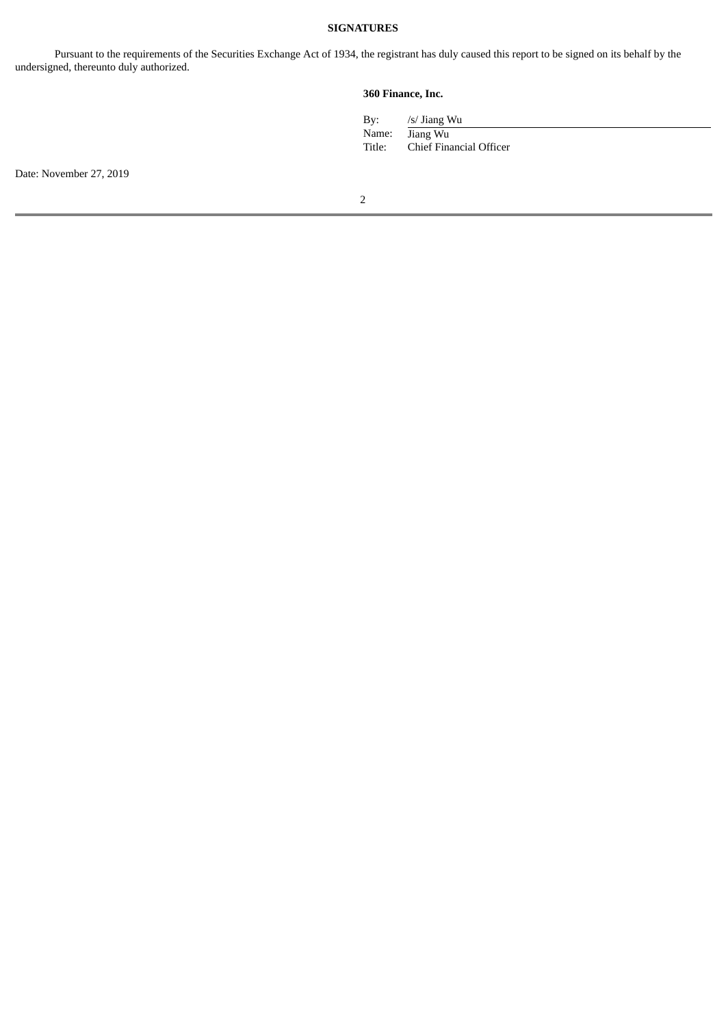#### **SIGNATURES**

Pursuant to the requirements of the Securities Exchange Act of 1934, the registrant has duly caused this report to be signed on its behalf by the undersigned, thereunto duly authorized.

## **360 Finance, Inc.**

By: /s/ Jiang Wu

Name: Jiang Wu<br>Title: Chief Fina Chief Financial Officer

Date: November 27, 2019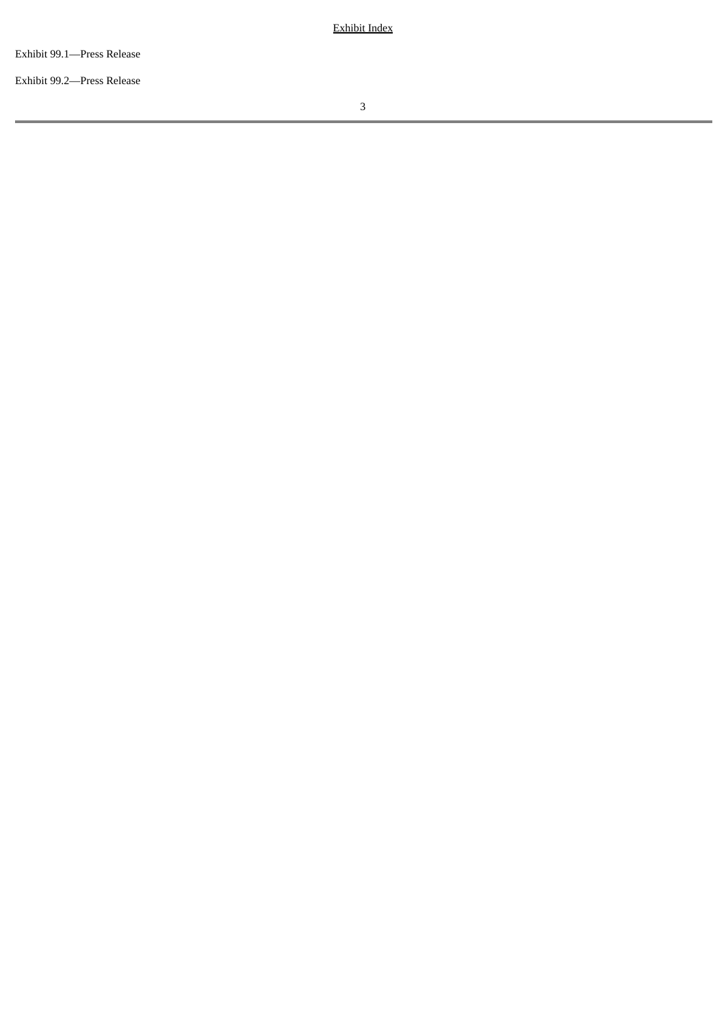Exhibit 99.1—Press Release

Exhibit 99.2—Press Release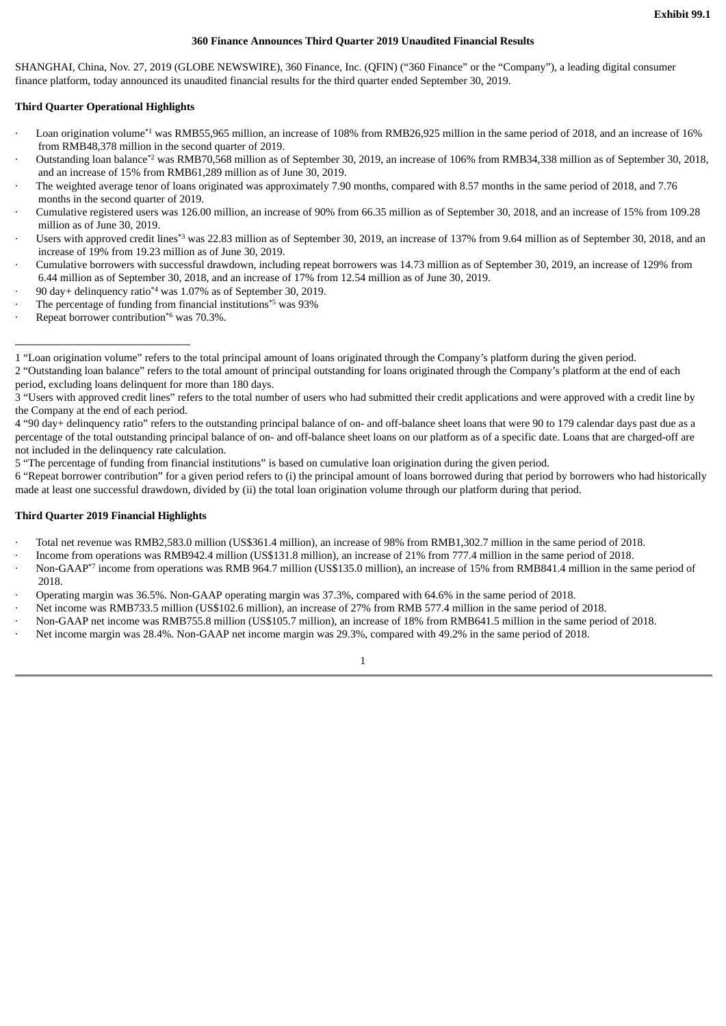#### **360 Finance Announces Third Quarter 2019 Unaudited Financial Results**

SHANGHAI, China, Nov. 27, 2019 (GLOBE NEWSWIRE), 360 Finance, Inc. (QFIN) ("360 Finance" or the "Company"), a leading digital consumer finance platform, today announced its unaudited financial results for the third quarter ended September 30, 2019.

#### **Third Quarter Operational Highlights**

- $\cdot$  Loan origination volume<sup>\*1</sup> was RMB55,965 million, an increase of 108% from RMB26,925 million in the same period of 2018, and an increase of 16% from RMB48,378 million in the second quarter of 2019.
- $\cdot$  Outstanding loan balance\*<sup>2</sup> was RMB70,568 million as of September 30, 2019, an increase of 106% from RMB34,338 million as of September 30, 2018, and an increase of 15% from RMB61,289 million as of June 30, 2019.
- · The weighted average tenor of loans originated was approximately 7.90 months, compared with 8.57 months in the same period of 2018, and 7.76 months in the second quarter of 2019.
- · Cumulative registered users was 126.00 million, an increase of 90% from 66.35 million as of September 30, 2018, and an increase of 15% from 109.28 million as of June 30, 2019.
- Users with approved credit lines\*3 was 22.83 million as of September 30, 2019, an increase of 137% from 9.64 million as of September 30, 2018, and an increase of 19% from 19.23 million as of June 30, 2019.
- · Cumulative borrowers with successful drawdown, including repeat borrowers was 14.73 million as of September 30, 2019, an increase of 129% from 6.44 million as of September 30, 2018, and an increase of 17% from 12.54 million as of June 30, 2019.
- $\cdot$  90 day+ delinquency ratio<sup>\*4</sup> was 1.07% as of September 30, 2019.
- $\cdot$  The percentage of funding from financial institutions<sup>\*5</sup> was 93%
- Exercise Repeat borrower contribution<sup>\*6</sup> was 70.3%.

2 "Outstanding loan balance" refers to the total amount of principal outstanding for loans originated through the Company's platform at the end of each period, excluding loans delinquent for more than 180 days.

5 "The percentage of funding from financial institutions" is based on cumulative loan origination during the given period.

6 "Repeat borrower contribution" for a given period refers to (i) the principal amount of loans borrowed during that period by borrowers who had historically made at least one successful drawdown, divided by (ii) the total loan origination volume through our platform during that period.

#### **Third Quarter 2019 Financial Highlights**

- · Total net revenue was RMB2,583.0 million (US\$361.4 million), an increase of 98% from RMB1,302.7 million in the same period of 2018.
- · Income from operations was RMB942.4 million (US\$131.8 million), an increase of 21% from 777.4 million in the same period of 2018.
- $\cdot$  Non-GAAP<sup>\*7</sup> income from operations was RMB 964.7 million (US\$135.0 million), an increase of 15% from RMB841.4 million in the same period of 2018.
- · Operating margin was 36.5%. Non-GAAP operating margin was 37.3%, compared with 64.6% in the same period of 2018.
- · Net income was RMB733.5 million (US\$102.6 million), an increase of 27% from RMB 577.4 million in the same period of 2018.
- · Non-GAAP net income was RMB755.8 million (US\$105.7 million), an increase of 18% from RMB641.5 million in the same period of 2018.
- Net income margin was 28.4%. Non-GAAP net income margin was 29.3%, compared with 49.2% in the same period of 2018.

1

<sup>1</sup> "Loan origination volume" refers to the total principal amount of loans originated through the Company's platform during the given period.

<sup>3</sup> "Users with approved credit lines" refers to the total number of users who had submitted their credit applications and were approved with a credit line by the Company at the end of each period.

<sup>4</sup> "90 day+ delinquency ratio" refers to the outstanding principal balance of on- and off-balance sheet loans that were 90 to 179 calendar days past due as a percentage of the total outstanding principal balance of on- and off-balance sheet loans on our platform as of a specific date. Loans that are charged-off are not included in the delinquency rate calculation.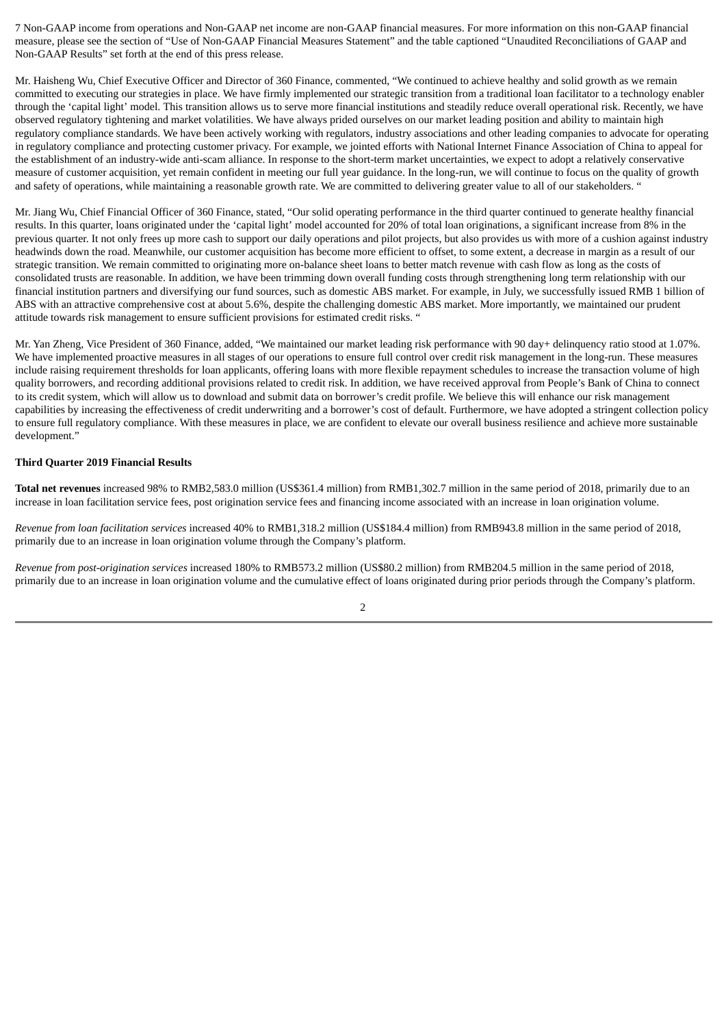7 Non-GAAP income from operations and Non-GAAP net income are non-GAAP financial measures. For more information on this non-GAAP financial measure, please see the section of "Use of Non-GAAP Financial Measures Statement" and the table captioned "Unaudited Reconciliations of GAAP and Non-GAAP Results" set forth at the end of this press release.

Mr. Haisheng Wu, Chief Executive Officer and Director of 360 Finance, commented, "We continued to achieve healthy and solid growth as we remain committed to executing our strategies in place. We have firmly implemented our strategic transition from a traditional loan facilitator to a technology enabler through the 'capital light' model. This transition allows us to serve more financial institutions and steadily reduce overall operational risk. Recently, we have observed regulatory tightening and market volatilities. We have always prided ourselves on our market leading position and ability to maintain high regulatory compliance standards. We have been actively working with regulators, industry associations and other leading companies to advocate for operating in regulatory compliance and protecting customer privacy. For example, we jointed efforts with National Internet Finance Association of China to appeal for the establishment of an industry-wide anti-scam alliance. In response to the short-term market uncertainties, we expect to adopt a relatively conservative measure of customer acquisition, yet remain confident in meeting our full year guidance. In the long-run, we will continue to focus on the quality of growth and safety of operations, while maintaining a reasonable growth rate. We are committed to delivering greater value to all of our stakeholders. "

Mr. Jiang Wu, Chief Financial Officer of 360 Finance, stated, "Our solid operating performance in the third quarter continued to generate healthy financial results. In this quarter, loans originated under the 'capital light' model accounted for 20% of total loan originations, a significant increase from 8% in the previous quarter. It not only frees up more cash to support our daily operations and pilot projects, but also provides us with more of a cushion against industry headwinds down the road. Meanwhile, our customer acquisition has become more efficient to offset, to some extent, a decrease in margin as a result of our strategic transition. We remain committed to originating more on-balance sheet loans to better match revenue with cash flow as long as the costs of consolidated trusts are reasonable. In addition, we have been trimming down overall funding costs through strengthening long term relationship with our financial institution partners and diversifying our fund sources, such as domestic ABS market. For example, in July, we successfully issued RMB 1 billion of ABS with an attractive comprehensive cost at about 5.6%, despite the challenging domestic ABS market. More importantly, we maintained our prudent attitude towards risk management to ensure sufficient provisions for estimated credit risks. "

Mr. Yan Zheng, Vice President of 360 Finance, added, "We maintained our market leading risk performance with 90 day+ delinquency ratio stood at 1.07%. We have implemented proactive measures in all stages of our operations to ensure full control over credit risk management in the long-run. These measures include raising requirement thresholds for loan applicants, offering loans with more flexible repayment schedules to increase the transaction volume of high quality borrowers, and recording additional provisions related to credit risk. In addition, we have received approval from People's Bank of China to connect to its credit system, which will allow us to download and submit data on borrower's credit profile. We believe this will enhance our risk management capabilities by increasing the effectiveness of credit underwriting and a borrower's cost of default. Furthermore, we have adopted a stringent collection policy to ensure full regulatory compliance. With these measures in place, we are confident to elevate our overall business resilience and achieve more sustainable development."

#### **Third Quarter 2019 Financial Results**

**Total net revenues** increased 98% to RMB2,583.0 million (US\$361.4 million) from RMB1,302.7 million in the same period of 2018, primarily due to an increase in loan facilitation service fees, post origination service fees and financing income associated with an increase in loan origination volume.

*Revenue from loan facilitation services* increased 40% to RMB1,318.2 million (US\$184.4 million) from RMB943.8 million in the same period of 2018, primarily due to an increase in loan origination volume through the Company's platform.

*Revenue from post-origination services* increased 180% to RMB573.2 million (US\$80.2 million) from RMB204.5 million in the same period of 2018, primarily due to an increase in loan origination volume and the cumulative effect of loans originated during prior periods through the Company's platform.

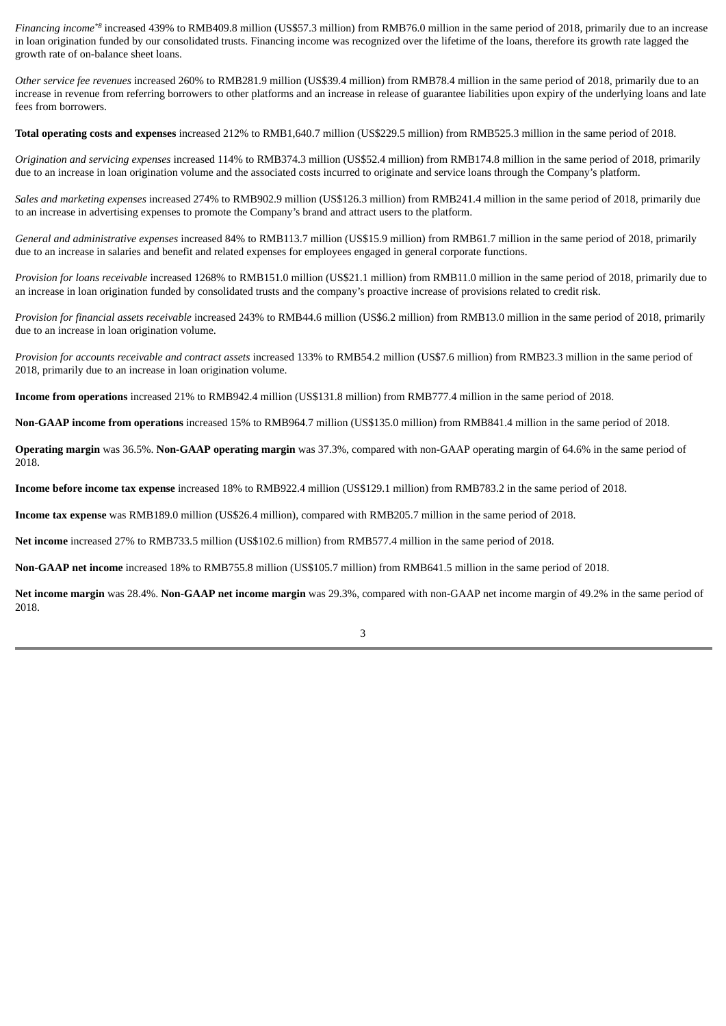Financing income<sup>\*8</sup> increased 439% to RMB409.8 million (US\$57.3 million) from RMB76.0 million in the same period of 2018, primarily due to an increase in loan origination funded by our consolidated trusts. Financing income was recognized over the lifetime of the loans, therefore its growth rate lagged the growth rate of on-balance sheet loans.

*Other service fee revenues* increased 260% to RMB281.9 million (US\$39.4 million) from RMB78.4 million in the same period of 2018, primarily due to an increase in revenue from referring borrowers to other platforms and an increase in release of guarantee liabilities upon expiry of the underlying loans and late fees from borrowers.

**Total operating costs and expenses** increased 212% to RMB1,640.7 million (US\$229.5 million) from RMB525.3 million in the same period of 2018.

*Origination and servicing expenses* increased 114% to RMB374.3 million (US\$52.4 million) from RMB174.8 million in the same period of 2018, primarily due to an increase in loan origination volume and the associated costs incurred to originate and service loans through the Company's platform.

*Sales and marketing expenses* increased 274% to RMB902.9 million (US\$126.3 million) from RMB241.4 million in the same period of 2018, primarily due to an increase in advertising expenses to promote the Company's brand and attract users to the platform.

*General and administrative expenses* increased 84% to RMB113.7 million (US\$15.9 million) from RMB61.7 million in the same period of 2018, primarily due to an increase in salaries and benefit and related expenses for employees engaged in general corporate functions.

*Provision for loans receivable* increased 1268% to RMB151.0 million (US\$21.1 million) from RMB11.0 million in the same period of 2018, primarily due to an increase in loan origination funded by consolidated trusts and the company's proactive increase of provisions related to credit risk.

*Provision for financial assets receivable* increased 243% to RMB44.6 million (US\$6.2 million) from RMB13.0 million in the same period of 2018, primarily due to an increase in loan origination volume.

*Provision for accounts receivable and contract assets* increased 133% to RMB54.2 million (US\$7.6 million) from RMB23.3 million in the same period of 2018, primarily due to an increase in loan origination volume.

**Income from operations** increased 21% to RMB942.4 million (US\$131.8 million) from RMB777.4 million in the same period of 2018.

**Non-GAAP income from operations** increased 15% to RMB964.7 million (US\$135.0 million) from RMB841.4 million in the same period of 2018.

**Operating margin** was 36.5%. **Non-GAAP operating margin** was 37.3%, compared with non-GAAP operating margin of 64.6% in the same period of 2018.

**Income before income tax expense** increased 18% to RMB922.4 million (US\$129.1 million) from RMB783.2 in the same period of 2018.

**Income tax expense** was RMB189.0 million (US\$26.4 million), compared with RMB205.7 million in the same period of 2018.

**Net income** increased 27% to RMB733.5 million (US\$102.6 million) from RMB577.4 million in the same period of 2018.

**Non-GAAP net income** increased 18% to RMB755.8 million (US\$105.7 million) from RMB641.5 million in the same period of 2018.

**Net income margin** was 28.4%. **Non-GAAP net income margin** was 29.3%, compared with non-GAAP net income margin of 49.2% in the same period of 2018.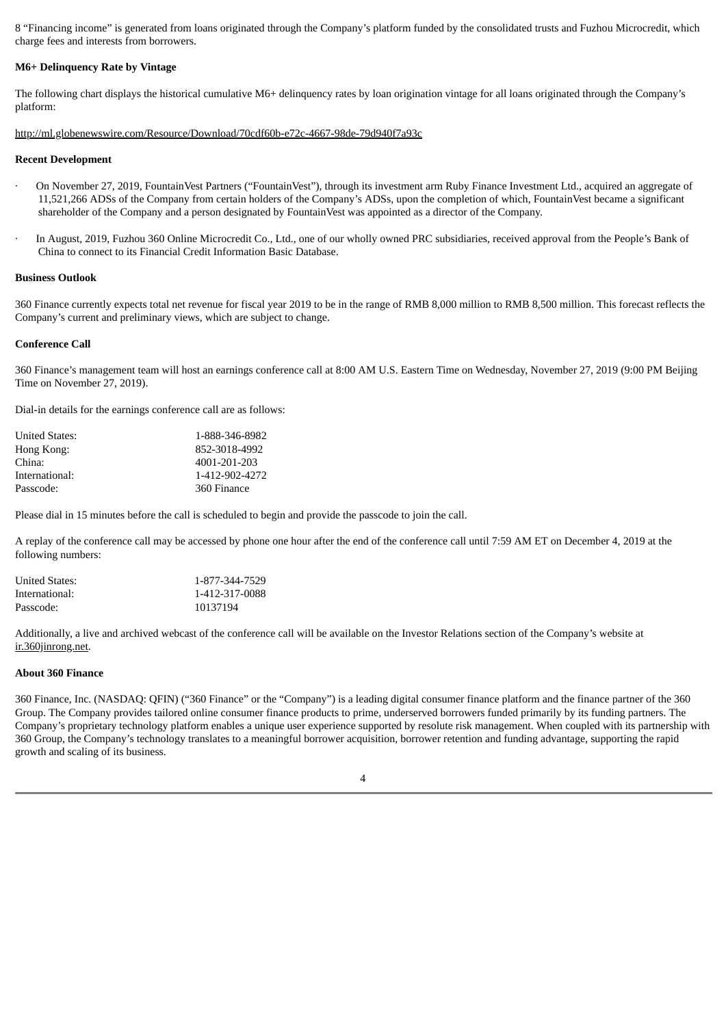8 "Financing income" is generated from loans originated through the Company's platform funded by the consolidated trusts and Fuzhou Microcredit, which charge fees and interests from borrowers.

#### **M6+ Delinquency Rate by Vintage**

The following chart displays the historical cumulative M6+ delinquency rates by loan origination vintage for all loans originated through the Company's platform:

http://ml.globenewswire.com/Resource/Download/70cdf60b-e72c-4667-98de-79d940f7a93c

#### **Recent Development**

- · On November 27, 2019, FountainVest Partners ("FountainVest"), through its investment arm Ruby Finance Investment Ltd., acquired an aggregate of 11,521,266 ADSs of the Company from certain holders of the Company's ADSs, upon the completion of which, FountainVest became a significant shareholder of the Company and a person designated by FountainVest was appointed as a director of the Company.
- · In August, 2019, Fuzhou 360 Online Microcredit Co., Ltd., one of our wholly owned PRC subsidiaries, received approval from the People's Bank of China to connect to its Financial Credit Information Basic Database.

#### **Business Outlook**

360 Finance currently expects total net revenue for fiscal year 2019 to be in the range of RMB 8,000 million to RMB 8,500 million. This forecast reflects the Company's current and preliminary views, which are subject to change.

#### **Conference Call**

360 Finance's management team will host an earnings conference call at 8:00 AM U.S. Eastern Time on Wednesday, November 27, 2019 (9:00 PM Beijing Time on November 27, 2019).

Dial-in details for the earnings conference call are as follows:

| 1-888-346-8982 |
|----------------|
| 852-3018-4992  |
| 4001-201-203   |
| 1-412-902-4272 |
| 360 Finance    |
|                |

Please dial in 15 minutes before the call is scheduled to begin and provide the passcode to join the call.

A replay of the conference call may be accessed by phone one hour after the end of the conference call until 7:59 AM ET on December 4, 2019 at the following numbers:

| <b>United States:</b> | 1-877-344-7529 |
|-----------------------|----------------|
| International:        | 1-412-317-0088 |
| Passcode:             | 10137194       |

Additionally, a live and archived webcast of the conference call will be available on the Investor Relations section of the Company's website at ir.360jinrong.net.

#### **About 360 Finance**

360 Finance, Inc. (NASDAQ: QFIN) ("360 Finance" or the "Company") is a leading digital consumer finance platform and the finance partner of the 360 Group. The Company provides tailored online consumer finance products to prime, underserved borrowers funded primarily by its funding partners. The Company's proprietary technology platform enables a unique user experience supported by resolute risk management. When coupled with its partnership with 360 Group, the Company's technology translates to a meaningful borrower acquisition, borrower retention and funding advantage, supporting the rapid growth and scaling of its business.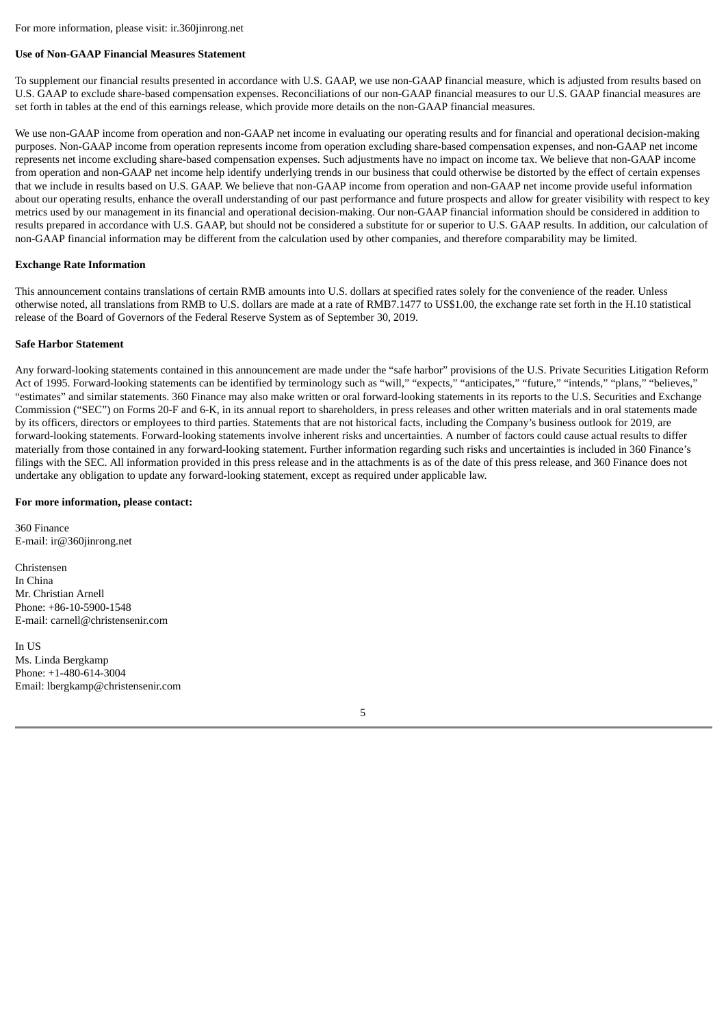#### **Use of Non-GAAP Financial Measures Statement**

To supplement our financial results presented in accordance with U.S. GAAP, we use non-GAAP financial measure, which is adjusted from results based on U.S. GAAP to exclude share-based compensation expenses. Reconciliations of our non-GAAP financial measures to our U.S. GAAP financial measures are set forth in tables at the end of this earnings release, which provide more details on the non-GAAP financial measures.

We use non-GAAP income from operation and non-GAAP net income in evaluating our operating results and for financial and operational decision-making purposes. Non-GAAP income from operation represents income from operation excluding share-based compensation expenses, and non-GAAP net income represents net income excluding share-based compensation expenses. Such adjustments have no impact on income tax. We believe that non-GAAP income from operation and non-GAAP net income help identify underlying trends in our business that could otherwise be distorted by the effect of certain expenses that we include in results based on U.S. GAAP. We believe that non-GAAP income from operation and non-GAAP net income provide useful information about our operating results, enhance the overall understanding of our past performance and future prospects and allow for greater visibility with respect to key metrics used by our management in its financial and operational decision-making. Our non-GAAP financial information should be considered in addition to results prepared in accordance with U.S. GAAP, but should not be considered a substitute for or superior to U.S. GAAP results. In addition, our calculation of non-GAAP financial information may be different from the calculation used by other companies, and therefore comparability may be limited.

#### **Exchange Rate Information**

This announcement contains translations of certain RMB amounts into U.S. dollars at specified rates solely for the convenience of the reader. Unless otherwise noted, all translations from RMB to U.S. dollars are made at a rate of RMB7.1477 to US\$1.00, the exchange rate set forth in the H.10 statistical release of the Board of Governors of the Federal Reserve System as of September 30, 2019.

#### **Safe Harbor Statement**

Any forward-looking statements contained in this announcement are made under the "safe harbor" provisions of the U.S. Private Securities Litigation Reform Act of 1995. Forward-looking statements can be identified by terminology such as "will," "expects," "anticipates," "future," "intends," "plans," "believes," "estimates" and similar statements. 360 Finance may also make written or oral forward-looking statements in its reports to the U.S. Securities and Exchange Commission ("SEC") on Forms 20-F and 6-K, in its annual report to shareholders, in press releases and other written materials and in oral statements made by its officers, directors or employees to third parties. Statements that are not historical facts, including the Company's business outlook for 2019, are forward-looking statements. Forward-looking statements involve inherent risks and uncertainties. A number of factors could cause actual results to differ materially from those contained in any forward-looking statement. Further information regarding such risks and uncertainties is included in 360 Finance's filings with the SEC. All information provided in this press release and in the attachments is as of the date of this press release, and 360 Finance does not undertake any obligation to update any forward-looking statement, except as required under applicable law.

#### **For more information, please contact:**

360 Finance E-mail: ir@360jinrong.net

Christensen In China Mr. Christian Arnell Phone: +86-10-5900-1548 E-mail: carnell@christensenir.com

In US Ms. Linda Bergkamp Phone: +1-480-614-3004 Email: lbergkamp@christensenir.com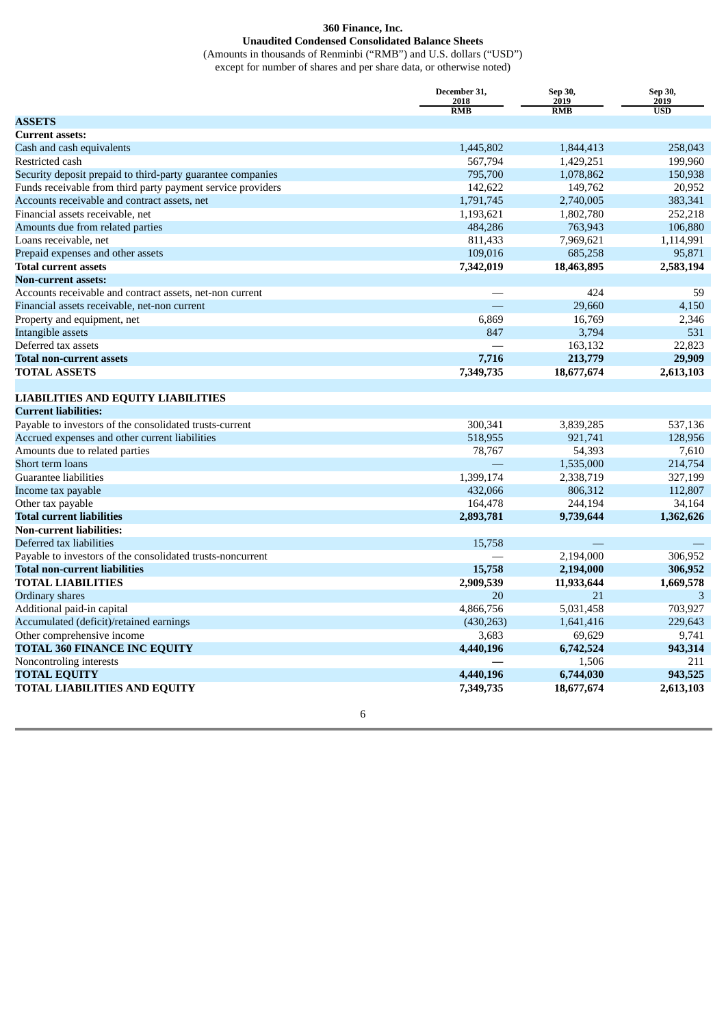#### **360 Finance, Inc. Unaudited Condensed Consolidated Balance Sheets** (Amounts in thousands of Renminbi ("RMB") and U.S. dollars ("USD")

except for number of shares and per share data, or otherwise noted)

|                                                             | December 31,<br>2018<br><b>RMB</b> | Sep 30,<br>2019<br><b>RMB</b> | Sep 30,<br>2019<br>$\overline{\text{USD}}$ |
|-------------------------------------------------------------|------------------------------------|-------------------------------|--------------------------------------------|
| <b>ASSETS</b>                                               |                                    |                               |                                            |
| <b>Current assets:</b>                                      |                                    |                               |                                            |
| Cash and cash equivalents                                   | 1,445,802                          | 1,844,413                     | 258,043                                    |
| Restricted cash                                             | 567,794                            | 1,429,251                     | 199,960                                    |
| Security deposit prepaid to third-party guarantee companies | 795,700                            | 1,078,862                     | 150,938                                    |
| Funds receivable from third party payment service providers | 142,622                            | 149,762                       | 20,952                                     |
| Accounts receivable and contract assets, net                | 1,791,745                          | 2,740,005                     | 383,341                                    |
| Financial assets receivable, net                            | 1,193,621                          | 1,802,780                     | 252,218                                    |
| Amounts due from related parties                            | 484,286                            | 763,943                       | 106,880                                    |
| Loans receivable, net                                       | 811,433                            | 7,969,621                     | 1,114,991                                  |
| Prepaid expenses and other assets                           | 109,016                            | 685,258                       | 95,871                                     |
| <b>Total current assets</b>                                 | 7,342,019                          | 18,463,895                    | 2,583,194                                  |
| Non-current assets:                                         |                                    |                               |                                            |
| Accounts receivable and contract assets, net-non current    |                                    | 424                           | 59                                         |
| Financial assets receivable, net-non current                |                                    | 29.660                        | 4,150                                      |
| Property and equipment, net                                 | 6,869                              | 16.769                        | 2,346                                      |
| Intangible assets                                           | 847                                | 3.794                         | 531                                        |
| Deferred tax assets                                         |                                    | 163,132                       | 22.823                                     |
| <b>Total non-current assets</b>                             | 7,716                              | 213,779                       | 29,909                                     |
| <b>TOTAL ASSETS</b>                                         | 7,349,735                          | 18,677,674                    | 2,613,103                                  |
| <b>LIABILITIES AND EQUITY LIABILITIES</b>                   |                                    |                               |                                            |
| <b>Current liabilities:</b>                                 |                                    |                               |                                            |
| Payable to investors of the consolidated trusts-current     | 300,341                            | 3,839,285                     | 537,136                                    |
| Accrued expenses and other current liabilities              | 518,955                            | 921,741                       | 128,956                                    |
| Amounts due to related parties                              | 78,767                             | 54,393                        | 7,610                                      |
| Short term loans                                            |                                    | 1,535,000                     | 214,754                                    |
| Guarantee liabilities                                       | 1,399,174                          | 2,338,719                     | 327,199                                    |
| Income tax payable                                          | 432.066                            | 806,312                       | 112.807                                    |
| Other tax payable                                           | 164,478                            | 244,194                       | 34,164                                     |
| <b>Total current liabilities</b>                            | 2,893,781                          | 9,739,644                     | 1,362,626                                  |
| <b>Non-current liabilities:</b>                             |                                    |                               |                                            |
| Deferred tax liabilities                                    | 15,758                             |                               |                                            |
| Payable to investors of the consolidated trusts-noncurrent  |                                    | 2,194,000                     | 306.952                                    |
| <b>Total non-current liabilities</b>                        | 15,758                             | 2,194,000                     | 306,952                                    |
| <b>TOTAL LIABILITIES</b>                                    | 2,909,539                          | 11,933,644                    | 1,669,578                                  |
| Ordinary shares                                             | 20                                 | 21                            | 3                                          |
| Additional paid-in capital                                  | 4,866,756                          | 5,031,458                     | 703,927                                    |
| Accumulated (deficit)/retained earnings                     | (430, 263)                         | 1,641,416                     | 229,643                                    |
| Other comprehensive income                                  | 3,683                              | 69,629                        | 9,741                                      |
| <b>TOTAL 360 FINANCE INC EQUITY</b>                         | 4,440,196                          | 6,742,524                     | 943,314                                    |
| Noncontroling interests                                     |                                    | 1,506                         | 211                                        |
| <b>TOTAL EQUITY</b>                                         | 4,440,196                          | 6,744,030                     | 943,525                                    |
| TOTAL LIABILITIES AND EQUITY                                | 7,349,735                          | 18,677,674                    | 2,613,103                                  |
|                                                             |                                    |                               |                                            |
|                                                             | 6                                  |                               |                                            |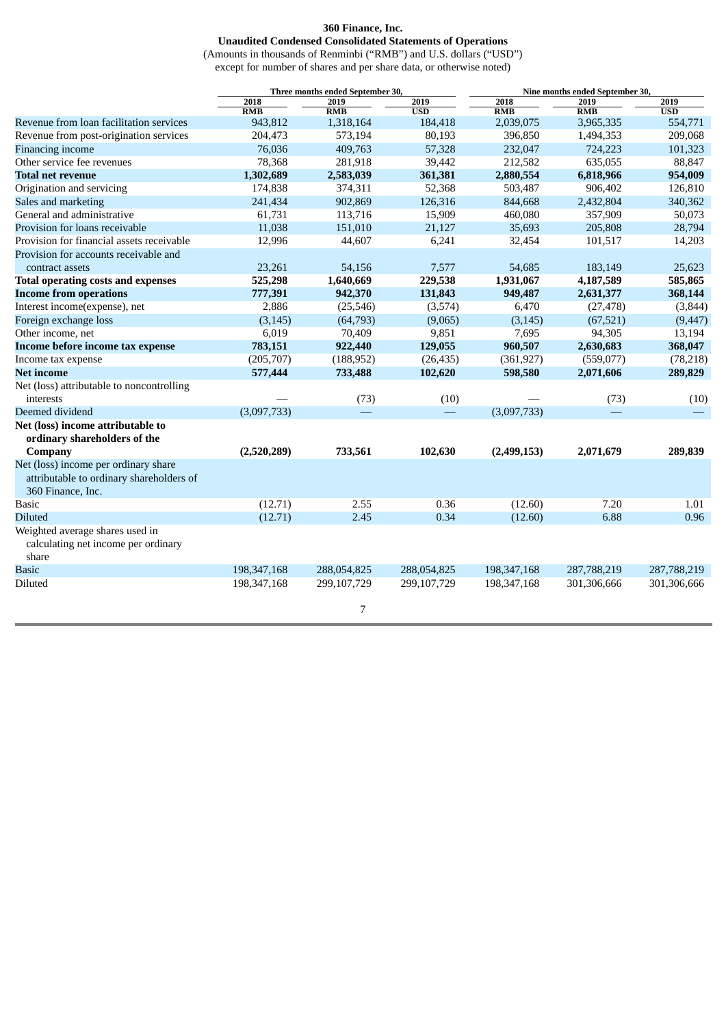### **360 Finance, Inc. Unaudited Condensed Consolidated Statements of Operations**

(Amounts in thousands of Renminbi ("RMB") and U.S. dollars ("USD") except for number of shares and per share data, or otherwise noted)

|                                           | Three months ended September 30, |                                 | Nine months ended September 30, |                  |             |                    |
|-------------------------------------------|----------------------------------|---------------------------------|---------------------------------|------------------|-------------|--------------------|
|                                           | 2018                             | 2019<br>$\overline{\text{RMB}}$ | 2019<br><b>USD</b>              | 2018             | 2019<br>RMB | 2019<br><b>USD</b> |
| Revenue from loan facilitation services   | RMB<br>943,812                   | 1,318,164                       | 184,418                         | RMB<br>2,039,075 | 3,965,335   | 554,771            |
| Revenue from post-origination services    | 204,473                          | 573,194                         | 80,193                          | 396,850          | 1,494,353   | 209,068            |
| Financing income                          | 76,036                           | 409,763                         | 57,328                          | 232,047          | 724,223     | 101,323            |
| Other service fee revenues                | 78,368                           | 281,918                         | 39,442                          | 212,582          | 635,055     | 88,847             |
| <b>Total net revenue</b>                  | 1,302,689                        |                                 |                                 |                  |             |                    |
|                                           |                                  | 2,583,039                       | 361,381                         | 2,880,554        | 6,818,966   | 954,009            |
| Origination and servicing                 | 174,838                          | 374,311                         | 52,368                          | 503,487          | 906,402     | 126,810            |
| Sales and marketing                       | 241,434                          | 902,869                         | 126,316                         | 844,668          | 2,432,804   | 340,362            |
| General and administrative                | 61,731                           | 113,716                         | 15,909                          | 460,080          | 357,909     | 50,073             |
| Provision for loans receivable            | 11,038                           | 151,010                         | 21,127                          | 35,693           | 205,808     | 28,794             |
| Provision for financial assets receivable | 12,996                           | 44,607                          | 6,241                           | 32,454           | 101,517     | 14,203             |
| Provision for accounts receivable and     |                                  |                                 |                                 |                  |             |                    |
| contract assets                           | 23,261                           | 54,156                          | 7,577                           | 54,685           | 183,149     | 25,623             |
| <b>Total operating costs and expenses</b> | 525,298                          | 1,640,669                       | 229,538                         | 1,931,067        | 4,187,589   | 585,865            |
| <b>Income from operations</b>             | 777,391                          | 942,370                         | 131,843                         | 949,487          | 2,631,377   | 368,144            |
| Interest income(expense), net             | 2,886                            | (25, 546)                       | (3,574)                         | 6,470            | (27, 478)   | (3,844)            |
| Foreign exchange loss                     | (3, 145)                         | (64, 793)                       | (9,065)                         | (3, 145)         | (67, 521)   | (9, 447)           |
| Other income, net                         | 6,019                            | 70,409                          | 9,851                           | 7,695            | 94,305      | 13,194             |
| Income before income tax expense          | 783,151                          | 922,440                         | 129,055                         | 960,507          | 2,630,683   | 368,047            |
| Income tax expense                        | (205, 707)                       | (188, 952)                      | (26, 435)                       | (361, 927)       | (559, 077)  | (78, 218)          |
| <b>Net income</b>                         | 577,444                          | 733,488                         | 102,620                         | 598,580          | 2,071,606   | 289,829            |
| Net (loss) attributable to noncontrolling |                                  |                                 |                                 |                  |             |                    |
| interests                                 |                                  | (73)                            | (10)                            |                  | (73)        | (10)               |
| Deemed dividend                           | (3,097,733)                      |                                 | $\overline{\phantom{0}}$        | (3,097,733)      |             |                    |
| Net (loss) income attributable to         |                                  |                                 |                                 |                  |             |                    |
| ordinary shareholders of the              |                                  |                                 |                                 |                  |             |                    |
| Company                                   | (2,520,289)                      | 733,561                         | 102,630                         | (2,499,153)      | 2,071,679   | 289,839            |
| Net (loss) income per ordinary share      |                                  |                                 |                                 |                  |             |                    |
| attributable to ordinary shareholders of  |                                  |                                 |                                 |                  |             |                    |
| 360 Finance, Inc.                         |                                  |                                 |                                 |                  |             |                    |
| <b>Basic</b>                              | (12.71)                          | 2.55                            | 0.36                            | (12.60)          | 7.20        | 1.01               |
| <b>Diluted</b>                            | (12.71)                          | 2.45                            | 0.34                            | (12.60)          | 6.88        | 0.96               |
| Weighted average shares used in           |                                  |                                 |                                 |                  |             |                    |
| calculating net income per ordinary       |                                  |                                 |                                 |                  |             |                    |
| share                                     |                                  |                                 |                                 |                  |             |                    |
| <b>Basic</b>                              | 198, 347, 168                    | 288,054,825                     | 288,054,825                     | 198, 347, 168    | 287,788,219 | 287,788,219        |
| Diluted                                   | 198, 347, 168                    | 299,107,729                     | 299,107,729                     | 198, 347, 168    | 301,306,666 | 301,306,666        |
|                                           |                                  |                                 |                                 |                  |             |                    |
|                                           |                                  | $\overline{7}$                  |                                 |                  |             |                    |
|                                           |                                  |                                 |                                 |                  |             |                    |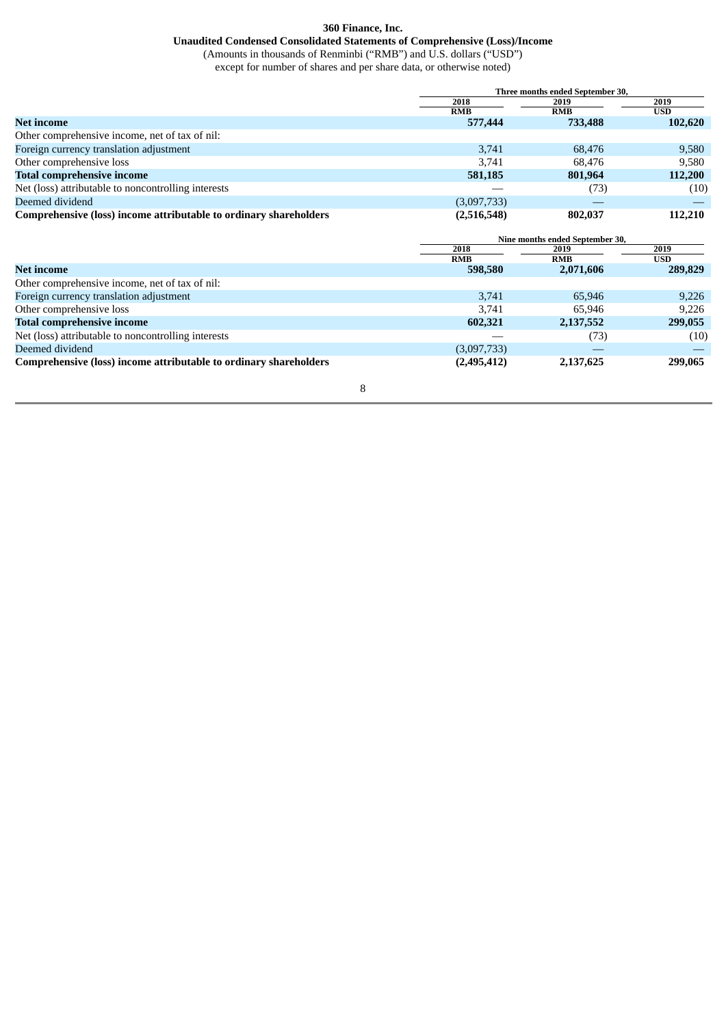## **360 Finance, Inc.**

**Unaudited Condensed Consolidated Statements of Comprehensive (Loss)/Income**

(Amounts in thousands of Renminbi ("RMB") and U.S. dollars ("USD")

except for number of shares and per share data, or otherwise noted)

|                                                                   | Three months ended September 30, |            |            |  |
|-------------------------------------------------------------------|----------------------------------|------------|------------|--|
|                                                                   | 2018                             | 2019       | 2019       |  |
|                                                                   | RMB                              | <b>RMB</b> | <b>USD</b> |  |
| Net income                                                        | 577,444                          | 733,488    | 102,620    |  |
| Other comprehensive income, net of tax of nil:                    |                                  |            |            |  |
| Foreign currency translation adjustment                           | 3,741                            | 68,476     | 9.580      |  |
| Other comprehensive loss                                          | 3.741                            | 68.476     | 9.580      |  |
| <b>Total comprehensive income</b>                                 | 581,185                          | 801,964    | 112,200    |  |
| Net (loss) attributable to noncontrolling interests               |                                  | (73)       | (10)       |  |
| Deemed dividend                                                   | (3,097,733)                      |            |            |  |
| Comprehensive (loss) income attributable to ordinary shareholders | (2,516,548)                      | 802,037    | 112,210    |  |

|                                                                   | Nine months ended September 30, |            |            |  |
|-------------------------------------------------------------------|---------------------------------|------------|------------|--|
|                                                                   | 2018                            | 2019       | 2019       |  |
|                                                                   | <b>RMB</b>                      | <b>RMB</b> | <b>USD</b> |  |
| <b>Net income</b>                                                 | 598,580                         | 2,071,606  | 289,829    |  |
| Other comprehensive income, net of tax of nil:                    |                                 |            |            |  |
| Foreign currency translation adjustment                           | 3,741                           | 65,946     | 9,226      |  |
| Other comprehensive loss                                          | 3.741                           | 65.946     | 9.226      |  |
| <b>Total comprehensive income</b>                                 | 602,321                         | 2,137,552  | 299,055    |  |
| Net (loss) attributable to noncontrolling interests               |                                 | (73)       | (10)       |  |
| Deemed dividend                                                   | (3,097,733)                     |            |            |  |
| Comprehensive (loss) income attributable to ordinary shareholders | (2,495,412)                     | 2,137,625  | 299,065    |  |
|                                                                   |                                 |            |            |  |

8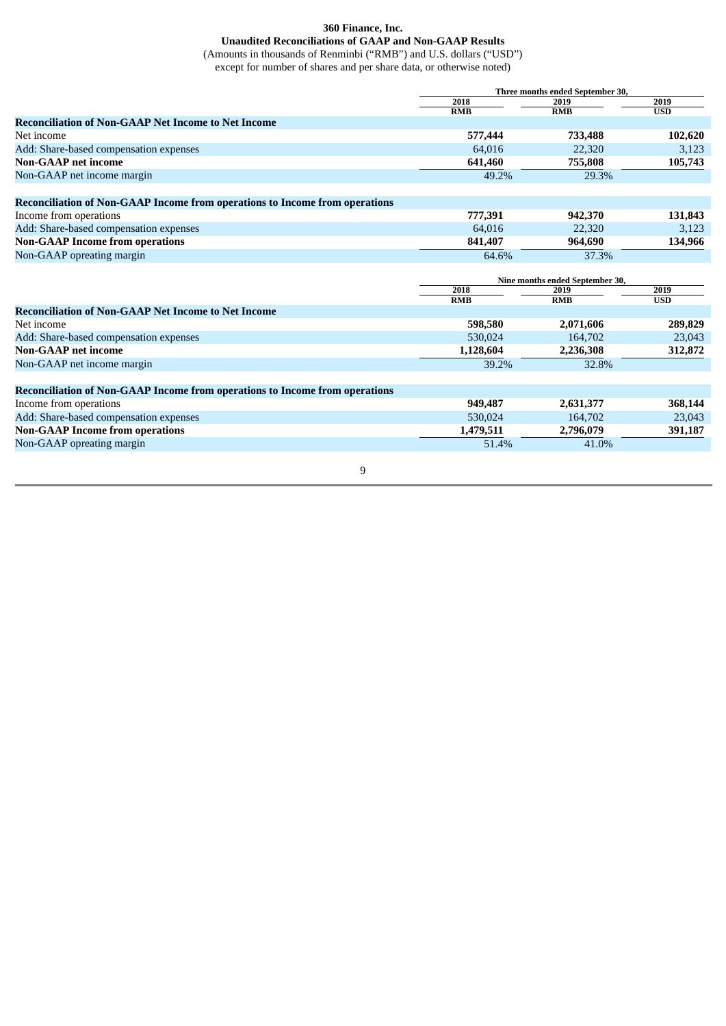## **360 Finance, Inc. Unaudited Reconciliations of GAAP and Non-GAAP Results**

(Amounts in thousands of Renminbi ("RMB") and U.S. dollars ("USD") except for number of shares and per share data, or otherwise noted)

|                                                                       |            | Three months ended September 30, |            |  |  |
|-----------------------------------------------------------------------|------------|----------------------------------|------------|--|--|
|                                                                       | 2018       | 2019                             | 2019       |  |  |
|                                                                       | <b>RMB</b> | <b>RMB</b>                       | <b>USD</b> |  |  |
| <b>Reconciliation of Non-GAAP Net Income to Net Income</b>            |            |                                  |            |  |  |
| Net income                                                            | 577,444    | 733,488                          | 102,620    |  |  |
| Add: Share-based compensation expenses                                | 64,016     | 22,320                           | 3,123      |  |  |
| <b>Non-GAAP</b> net income                                            | 641,460    | 755,808                          | 105,743    |  |  |
| Non-GAAP net income margin                                            | 49.2%      | 29.3%                            |            |  |  |
|                                                                       |            |                                  |            |  |  |
| $-1$<br>$\sim$<br>$\sim$<br>$\sim$ $\sim$ $\sim$ $\sim$ $\sim$ $\sim$ |            |                                  |            |  |  |

| <b>Reconciliation of Non-GAAP Income from operations to Income from operations</b> |         |         |         |
|------------------------------------------------------------------------------------|---------|---------|---------|
| Income from operations                                                             | 777,391 | 942,370 | 131,843 |
| Add: Share-based compensation expenses                                             | 64.016  | 22,320  | 3.123   |
| <b>Non-GAAP Income from operations</b>                                             | 841,407 | 964.690 | 134,966 |
| Non-GAAP opreating margin                                                          | 64.6%   | 37.3%   |         |

|                                                                                    | Nine months ended September 30, |            |            |  |
|------------------------------------------------------------------------------------|---------------------------------|------------|------------|--|
|                                                                                    | 2018<br>2019                    |            | 2019       |  |
|                                                                                    | <b>RMB</b>                      | <b>RMB</b> | <b>USD</b> |  |
| <b>Reconciliation of Non-GAAP Net Income to Net Income</b>                         |                                 |            |            |  |
| Net income                                                                         | 598,580                         | 2,071,606  | 289,829    |  |
| Add: Share-based compensation expenses                                             | 530,024                         | 164,702    | 23,043     |  |
| <b>Non-GAAP</b> net income                                                         | 1,128,604                       | 2,236,308  | 312,872    |  |
| Non-GAAP net income margin                                                         | 39.2%                           | 32.8%      |            |  |
|                                                                                    |                                 |            |            |  |
| <b>Reconciliation of Non-GAAP Income from operations to Income from operations</b> |                                 |            |            |  |
| Income from operations                                                             | 949,487                         | 2,631,377  | 368,144    |  |
| Add: Share-based compensation expenses                                             | 530.024                         | 164,702    | 23,043     |  |
| <b>Non-GAAP Income from operations</b>                                             | 1,479,511                       | 2,796,079  | 391,187    |  |

Non-GAAP opreating margin 61.0 and 51.4% 61.0 and 51.4% 41.0 and 41.0 and 41.0 and 41.0 and 41.0 and 41.0 and 41.0 and 41.0 and 41.0 and 41.0 and 41.0 and 41.0 and 41.0 and 41.0 and 41.0 and 41.0 and 41.0 and 41.0 and 41.0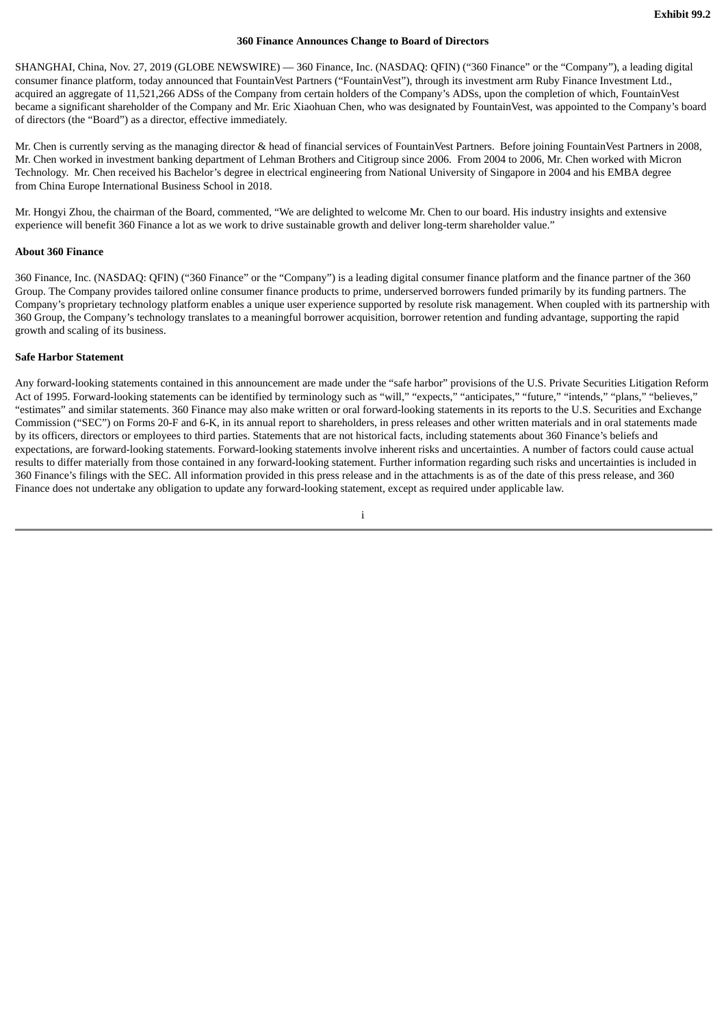#### **360 Finance Announces Change to Board of Directors**

SHANGHAI, China, Nov. 27, 2019 (GLOBE NEWSWIRE) — 360 Finance, Inc. (NASDAQ: QFIN) ("360 Finance" or the "Company"), a leading digital consumer finance platform, today announced that FountainVest Partners ("FountainVest"), through its investment arm Ruby Finance Investment Ltd., acquired an aggregate of 11,521,266 ADSs of the Company from certain holders of the Company's ADSs, upon the completion of which, FountainVest became a significant shareholder of the Company and Mr. Eric Xiaohuan Chen, who was designated by FountainVest, was appointed to the Company's board of directors (the "Board") as a director, effective immediately.

Mr. Chen is currently serving as the managing director & head of financial services of FountainVest Partners. Before joining FountainVest Partners in 2008, Mr. Chen worked in investment banking department of Lehman Brothers and Citigroup since 2006. From 2004 to 2006, Mr. Chen worked with Micron Technology. Mr. Chen received his Bachelor's degree in electrical engineering from National University of Singapore in 2004 and his EMBA degree from China Europe International Business School in 2018.

Mr. Hongyi Zhou, the chairman of the Board, commented, "We are delighted to welcome Mr. Chen to our board. His industry insights and extensive experience will benefit 360 Finance a lot as we work to drive sustainable growth and deliver long-term shareholder value."

#### **About 360 Finance**

360 Finance, Inc. (NASDAQ: QFIN) ("360 Finance" or the "Company") is a leading digital consumer finance platform and the finance partner of the 360 Group. The Company provides tailored online consumer finance products to prime, underserved borrowers funded primarily by its funding partners. The Company's proprietary technology platform enables a unique user experience supported by resolute risk management. When coupled with its partnership with 360 Group, the Company's technology translates to a meaningful borrower acquisition, borrower retention and funding advantage, supporting the rapid growth and scaling of its business.

#### **Safe Harbor Statement**

Any forward-looking statements contained in this announcement are made under the "safe harbor" provisions of the U.S. Private Securities Litigation Reform Act of 1995. Forward-looking statements can be identified by terminology such as "will," "expects," "anticipates," "future," "intends," "plans," "believes," "estimates" and similar statements. 360 Finance may also make written or oral forward-looking statements in its reports to the U.S. Securities and Exchange Commission ("SEC") on Forms 20-F and 6-K, in its annual report to shareholders, in press releases and other written materials and in oral statements made by its officers, directors or employees to third parties. Statements that are not historical facts, including statements about 360 Finance's beliefs and expectations, are forward-looking statements. Forward-looking statements involve inherent risks and uncertainties. A number of factors could cause actual results to differ materially from those contained in any forward-looking statement. Further information regarding such risks and uncertainties is included in 360 Finance's filings with the SEC. All information provided in this press release and in the attachments is as of the date of this press release, and 360 Finance does not undertake any obligation to update any forward-looking statement, except as required under applicable law.

i